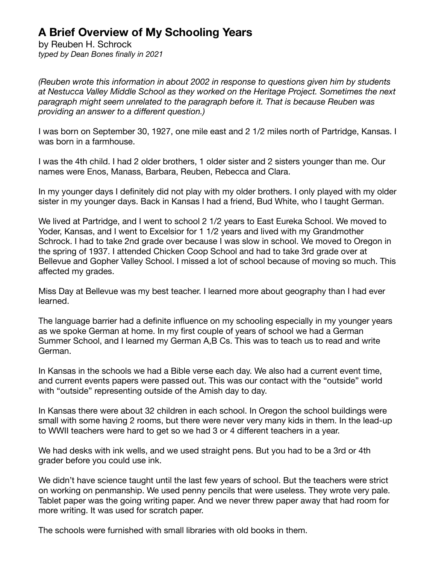## **A Brief Overview of My Schooling Years**

by Reuben H. Schrock *typed by Dean Bones finally in 2021*

*(Reuben wrote this information in about 2002 in response to questions given him by students at Nestucca Valley Middle School as they worked on the Heritage Project. Sometimes the next paragraph might seem unrelated to the paragraph before it. That is because Reuben was providing an answer to a different question.)* 

I was born on September 30, 1927, one mile east and 2 1/2 miles north of Partridge, Kansas. I was born in a farmhouse.

I was the 4th child. I had 2 older brothers, 1 older sister and 2 sisters younger than me. Our names were Enos, Manass, Barbara, Reuben, Rebecca and Clara.

In my younger days I definitely did not play with my older brothers. I only played with my older sister in my younger days. Back in Kansas I had a friend, Bud White, who I taught German.

We lived at Partridge, and I went to school 2 1/2 years to East Eureka School. We moved to Yoder, Kansas, and I went to Excelsior for 1 1/2 years and lived with my Grandmother Schrock. I had to take 2nd grade over because I was slow in school. We moved to Oregon in the spring of 1937. I attended Chicken Coop School and had to take 3rd grade over at Bellevue and Gopher Valley School. I missed a lot of school because of moving so much. This affected my grades.

Miss Day at Bellevue was my best teacher. I learned more about geography than I had ever learned.

The language barrier had a definite influence on my schooling especially in my younger years as we spoke German at home. In my first couple of years of school we had a German Summer School, and I learned my German A,B Cs. This was to teach us to read and write German.

In Kansas in the schools we had a Bible verse each day. We also had a current event time, and current events papers were passed out. This was our contact with the "outside" world with "outside" representing outside of the Amish day to day.

In Kansas there were about 32 children in each school. In Oregon the school buildings were small with some having 2 rooms, but there were never very many kids in them. In the lead-up to WWII teachers were hard to get so we had 3 or 4 different teachers in a year.

We had desks with ink wells, and we used straight pens. But you had to be a 3rd or 4th grader before you could use ink.

We didn't have science taught until the last few years of school. But the teachers were strict on working on penmanship. We used penny pencils that were useless. They wrote very pale. Tablet paper was the going writing paper. And we never threw paper away that had room for more writing. It was used for scratch paper.

The schools were furnished with small libraries with old books in them.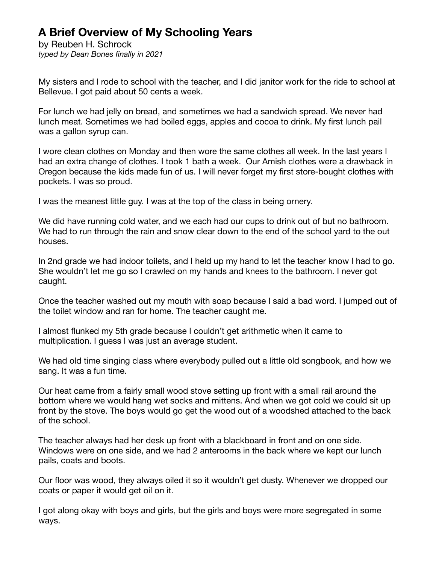## **A Brief Overview of My Schooling Years**

by Reuben H. Schrock *typed by Dean Bones finally in 2021*

My sisters and I rode to school with the teacher, and I did janitor work for the ride to school at Bellevue. I got paid about 50 cents a week.

For lunch we had jelly on bread, and sometimes we had a sandwich spread. We never had lunch meat. Sometimes we had boiled eggs, apples and cocoa to drink. My first lunch pail was a gallon syrup can.

I wore clean clothes on Monday and then wore the same clothes all week. In the last years I had an extra change of clothes. I took 1 bath a week. Our Amish clothes were a drawback in Oregon because the kids made fun of us. I will never forget my first store-bought clothes with pockets. I was so proud.

I was the meanest little guy. I was at the top of the class in being ornery.

We did have running cold water, and we each had our cups to drink out of but no bathroom. We had to run through the rain and snow clear down to the end of the school yard to the out houses.

In 2nd grade we had indoor toilets, and I held up my hand to let the teacher know I had to go. She wouldn't let me go so I crawled on my hands and knees to the bathroom. I never got caught.

Once the teacher washed out my mouth with soap because I said a bad word. I jumped out of the toilet window and ran for home. The teacher caught me.

I almost flunked my 5th grade because I couldn't get arithmetic when it came to multiplication. I guess I was just an average student.

We had old time singing class where everybody pulled out a little old songbook, and how we sang. It was a fun time.

Our heat came from a fairly small wood stove setting up front with a small rail around the bottom where we would hang wet socks and mittens. And when we got cold we could sit up front by the stove. The boys would go get the wood out of a woodshed attached to the back of the school.

The teacher always had her desk up front with a blackboard in front and on one side. Windows were on one side, and we had 2 anterooms in the back where we kept our lunch pails, coats and boots.

Our floor was wood, they always oiled it so it wouldn't get dusty. Whenever we dropped our coats or paper it would get oil on it.

I got along okay with boys and girls, but the girls and boys were more segregated in some ways.